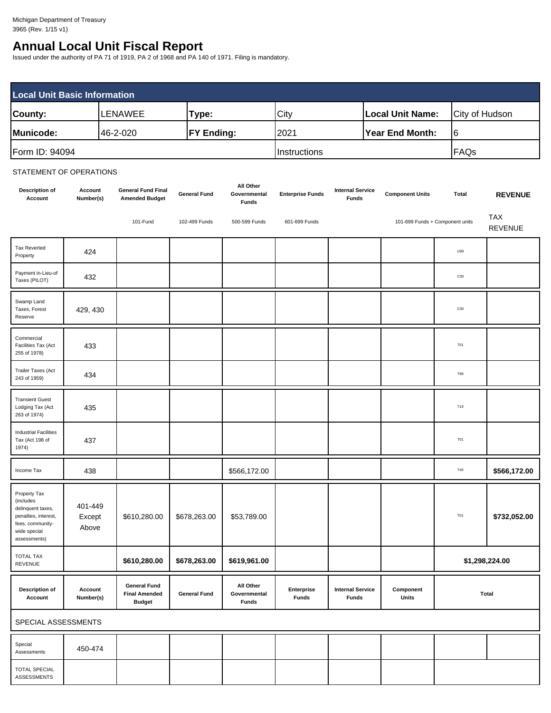# **Annual Local Unit Fiscal Report**

Issued under the authority of PA 71 of 1919, PA 2 of 1968 and PA 140 of 1971. Filing is mandatory.

| <b>Local Unit Basic Information</b> |                |                   |              |                         |                |  |
|-------------------------------------|----------------|-------------------|--------------|-------------------------|----------------|--|
| County:                             | <b>LENAWEE</b> | Type:             | City         | <b>Local Unit Name:</b> | City of Hudson |  |
| Municode:                           | 46-2-020       | <b>FY Ending:</b> | 2021         | Year End Month:         | 16             |  |
| Form ID: 94094                      |                |                   | Instructions |                         | FAQs           |  |

#### STATEMENT OF OPERATIONS

| <b>Description of</b><br>Account                                                                                           | Account<br>Number(s)       | <b>General Fund Final</b><br><b>Amended Budget</b>           | <b>General Fund</b> | All Other<br>Governmental<br><b>Funds</b> | <b>Enterprise Funds</b>    | <b>Internal Service</b><br><b>Funds</b> | <b>Component Units</b> | Total                           | <b>REVENUE</b>               |
|----------------------------------------------------------------------------------------------------------------------------|----------------------------|--------------------------------------------------------------|---------------------|-------------------------------------------|----------------------------|-----------------------------------------|------------------------|---------------------------------|------------------------------|
|                                                                                                                            |                            | 101-Fund                                                     | 102-499 Funds       | 500-599 Funds                             | 601-699 Funds              |                                         |                        | 101-699 Funds + Component units | <b>TAX</b><br><b>REVENUE</b> |
| <b>Tax Reverted</b><br>Property                                                                                            | 424                        |                                                              |                     |                                           |                            |                                         |                        | U99                             |                              |
| Payment in-Lieu-of<br>Taxes (PILOT)                                                                                        | 432                        |                                                              |                     |                                           |                            |                                         |                        | C30                             |                              |
| Swamp Land<br>Taxes, Forest<br>Reserve                                                                                     | 429, 430                   |                                                              |                     |                                           |                            |                                         |                        | C30                             |                              |
| Commercial<br>Facilities Tax (Act<br>255 of 1978)                                                                          | 433                        |                                                              |                     |                                           |                            |                                         |                        | <b>T01</b>                      |                              |
| Trailer Taxes (Act<br>243 of 1959)                                                                                         | 434                        |                                                              |                     |                                           |                            |                                         |                        | T99                             |                              |
| <b>Transient Guest</b><br>Lodging Tax (Act<br>263 of 1974)                                                                 | 435                        |                                                              |                     |                                           |                            |                                         |                        | T19                             |                              |
| <b>Industrial Facilities</b><br>Tax (Act 198 of<br>1974)                                                                   | 437                        |                                                              |                     |                                           |                            |                                         |                        | <b>T01</b>                      |                              |
| Income Tax                                                                                                                 | 438                        |                                                              |                     | \$566,172.00                              |                            |                                         |                        | T40                             | \$566,172.00                 |
| Property Tax<br>(includes<br>delinquent taxes,<br>penalties, interest,<br>fees, community-<br>wide special<br>assessments) | 401-449<br>Except<br>Above | \$610,280.00                                                 | \$678,263.00        | \$53,789.00                               |                            |                                         |                        | T01                             | \$732,052.00                 |
| <b>TOTAL TAX</b><br><b>REVENUE</b>                                                                                         |                            | \$610,280.00                                                 | \$678,263.00        | \$619,961.00                              |                            |                                         |                        |                                 | \$1,298,224.00               |
| <b>Description of</b><br>Account                                                                                           | Account<br>Number(s)       | <b>General Fund</b><br><b>Final Amended</b><br><b>Budget</b> | <b>General Fund</b> | All Other<br>Governmental<br><b>Funds</b> | Enterprise<br><b>Funds</b> | <b>Internal Service</b><br><b>Funds</b> | Component<br>Units     |                                 | Total                        |
| SPECIAL ASSESSMENTS                                                                                                        |                            |                                                              |                     |                                           |                            |                                         |                        |                                 |                              |
| Special<br>Assessments                                                                                                     | 450-474                    |                                                              |                     |                                           |                            |                                         |                        |                                 |                              |
| <b>TOTAL SPECIAL</b><br>ASSESSMENTS                                                                                        |                            |                                                              |                     |                                           |                            |                                         |                        |                                 |                              |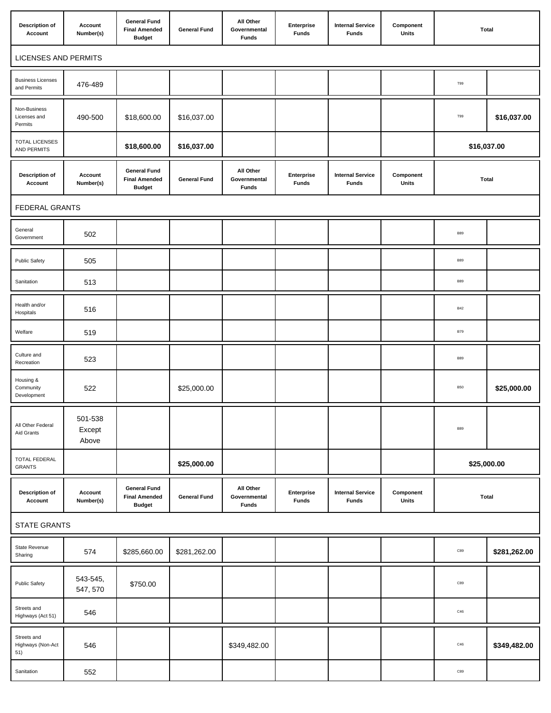| <b>Description of</b><br>Account        | Account<br>Number(s)       | <b>General Fund</b><br><b>Final Amended</b><br><b>Budget</b> | <b>General Fund</b> | All Other<br>Governmental<br><b>Funds</b> | Enterprise<br><b>Funds</b> | <b>Internal Service</b><br><b>Funds</b> | Component<br>Units        | Total        |              |
|-----------------------------------------|----------------------------|--------------------------------------------------------------|---------------------|-------------------------------------------|----------------------------|-----------------------------------------|---------------------------|--------------|--------------|
| <b>LICENSES AND PERMITS</b>             |                            |                                                              |                     |                                           |                            |                                         |                           |              |              |
| <b>Business Licenses</b><br>and Permits | 476-489                    |                                                              |                     |                                           |                            |                                         |                           | T99          |              |
| Non-Business<br>Licenses and<br>Permits | 490-500                    | \$18,600.00                                                  | \$16,037.00         |                                           |                            |                                         |                           | T99          | \$16,037.00  |
| <b>TOTAL LICENSES</b><br>AND PERMITS    |                            | \$18,600.00                                                  | \$16,037.00         |                                           |                            |                                         |                           | \$16,037.00  |              |
| <b>Description of</b><br>Account        | Account<br>Number(s)       | <b>General Fund</b><br><b>Final Amended</b><br><b>Budget</b> | <b>General Fund</b> | All Other<br>Governmental<br><b>Funds</b> | Enterprise<br><b>Funds</b> | <b>Internal Service</b><br>Funds        | Component<br><b>Units</b> | <b>Total</b> |              |
| FEDERAL GRANTS                          |                            |                                                              |                     |                                           |                            |                                         |                           |              |              |
| General<br>Government                   | 502                        |                                                              |                     |                                           |                            |                                         |                           | <b>B89</b>   |              |
| <b>Public Safety</b>                    | 505                        |                                                              |                     |                                           |                            |                                         |                           | <b>B89</b>   |              |
| Sanitation                              | 513                        |                                                              |                     |                                           |                            |                                         |                           | <b>B89</b>   |              |
| Health and/or<br>Hospitals              | 516                        |                                                              |                     |                                           |                            |                                         |                           | <b>B42</b>   |              |
| Welfare                                 | 519                        |                                                              |                     |                                           |                            |                                         |                           | <b>B79</b>   |              |
| Culture and<br>Recreation               | 523                        |                                                              |                     |                                           |                            |                                         |                           | <b>B89</b>   |              |
| Housing &<br>Community<br>Development   | 522                        |                                                              | \$25,000.00         |                                           |                            |                                         |                           | <b>B50</b>   | \$25,000.00  |
| All Other Federal<br>Aid Grants         | 501-538<br>Except<br>Above |                                                              |                     |                                           |                            |                                         |                           | <b>B89</b>   |              |
| TOTAL FEDERAL<br><b>GRANTS</b>          |                            |                                                              | \$25,000.00         |                                           |                            |                                         |                           | \$25,000.00  |              |
| <b>Description of</b><br>Account        | Account<br>Number(s)       | <b>General Fund</b><br><b>Final Amended</b><br><b>Budget</b> | <b>General Fund</b> | All Other<br>Governmental<br><b>Funds</b> | Enterprise<br><b>Funds</b> | <b>Internal Service</b><br><b>Funds</b> | Component<br>Units        | Total        |              |
| <b>STATE GRANTS</b>                     |                            |                                                              |                     |                                           |                            |                                         |                           |              |              |
| State Revenue<br>Sharing                | 574                        | \$285,660.00                                                 | \$281,262.00        |                                           |                            |                                         |                           | $_{\rm C89}$ | \$281,262.00 |
| Public Safety                           | 543-545,<br>547, 570       | \$750.00                                                     |                     |                                           |                            |                                         |                           | C89          |              |
| Streets and<br>Highways (Act 51)        | 546                        |                                                              |                     |                                           |                            |                                         |                           | ${\bf C46}$  |              |
| Streets and<br>Highways (Non-Act<br>51) | 546                        |                                                              |                     | \$349,482.00                              |                            |                                         |                           | ${\bf C46}$  | \$349,482.00 |
| Sanitation                              | 552                        |                                                              |                     |                                           |                            |                                         |                           | $_{\rm C89}$ |              |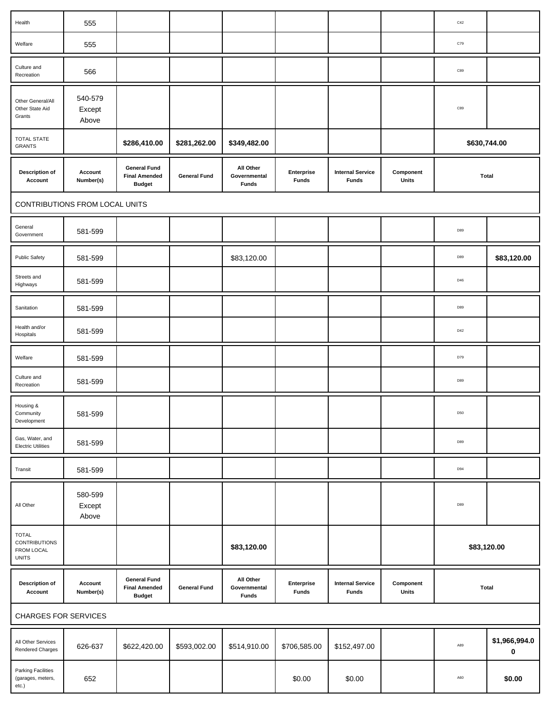| Health                                                             | 555                            |                                                              |                     |                                           |                            |                                         |                    | C42        |                            |
|--------------------------------------------------------------------|--------------------------------|--------------------------------------------------------------|---------------------|-------------------------------------------|----------------------------|-----------------------------------------|--------------------|------------|----------------------------|
| Welfare                                                            | 555                            |                                                              |                     |                                           |                            |                                         |                    | C79        |                            |
| Culture and<br>Recreation                                          | 566                            |                                                              |                     |                                           |                            |                                         |                    | C89        |                            |
| Other General/All<br>Other State Aid<br>Grants                     | 540-579<br>Except<br>Above     |                                                              |                     |                                           |                            |                                         |                    | C89        |                            |
| <b>TOTAL STATE</b><br><b>GRANTS</b>                                |                                | \$286,410.00                                                 | \$281,262.00        | \$349,482.00                              |                            |                                         |                    |            | \$630,744.00               |
| <b>Description of</b><br>Account                                   | Account<br>Number(s)           | <b>General Fund</b><br><b>Final Amended</b><br><b>Budget</b> | <b>General Fund</b> | All Other<br>Governmental<br><b>Funds</b> | Enterprise<br><b>Funds</b> | <b>Internal Service</b><br><b>Funds</b> | Component<br>Units | Total      |                            |
|                                                                    | CONTRIBUTIONS FROM LOCAL UNITS |                                                              |                     |                                           |                            |                                         |                    |            |                            |
| General<br>Government                                              | 581-599                        |                                                              |                     |                                           |                            |                                         |                    | D89        |                            |
| <b>Public Safety</b>                                               | 581-599                        |                                                              |                     | \$83,120.00                               |                            |                                         |                    | D89        | \$83,120.00                |
| Streets and<br>Highways                                            | 581-599                        |                                                              |                     |                                           |                            |                                         |                    | D46        |                            |
| Sanitation                                                         | 581-599                        |                                                              |                     |                                           |                            |                                         |                    | D89        |                            |
| Health and/or<br>Hospitals                                         | 581-599                        |                                                              |                     |                                           |                            |                                         |                    | D42        |                            |
| Welfare                                                            | 581-599                        |                                                              |                     |                                           |                            |                                         |                    | D79        |                            |
| Culture and<br>Recreation                                          | 581-599                        |                                                              |                     |                                           |                            |                                         |                    | D89        |                            |
| Housing &<br>Community<br>Development                              | 581-599                        |                                                              |                     |                                           |                            |                                         |                    | <b>D50</b> |                            |
| Gas, Water, and<br><b>Electric Utilities</b>                       | 581-599                        |                                                              |                     |                                           |                            |                                         |                    | D89        |                            |
| Transit                                                            | 581-599                        |                                                              |                     |                                           |                            |                                         |                    | D94        |                            |
| All Other                                                          | 580-599<br>Except<br>Above     |                                                              |                     |                                           |                            |                                         |                    | D89        |                            |
| <b>TOTAL</b><br><b>CONTRIBUTIONS</b><br>FROM LOCAL<br><b>UNITS</b> |                                |                                                              |                     | \$83,120.00                               |                            |                                         |                    |            | \$83,120.00                |
| <b>Description of</b><br>Account                                   | Account<br>Number(s)           | <b>General Fund</b><br><b>Final Amended</b><br><b>Budget</b> | <b>General Fund</b> | All Other<br>Governmental<br><b>Funds</b> | Enterprise<br><b>Funds</b> | <b>Internal Service</b><br><b>Funds</b> | Component<br>Units |            | Total                      |
| <b>CHARGES FOR SERVICES</b>                                        |                                |                                                              |                     |                                           |                            |                                         |                    |            |                            |
| All Other Services<br>Rendered Charges                             | 626-637                        | \$622,420.00                                                 | \$593,002.00        | \$514,910.00                              | \$706,585.00               | \$152,497.00                            |                    | A89        | \$1,966,994.0<br>$\pmb{0}$ |
| Parking Facilities<br>(garages, meters,                            | 652                            |                                                              |                     |                                           | \$0.00                     | \$0.00                                  |                    | A60        | \$0.00                     |

etc.)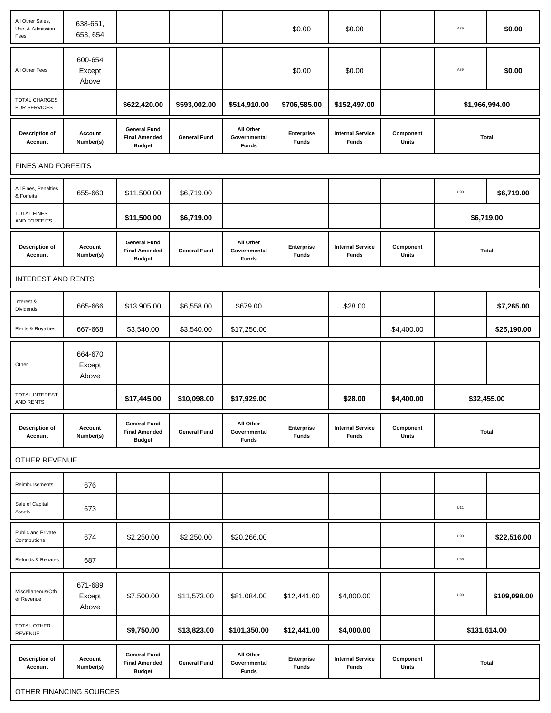| All Other Sales,<br>Use, & Admission<br>Fees | 638-651,<br>653, 654       |                                                              |                     |                                           | \$0.00                     | \$0.00                                  |                    | A89            | \$0.00       |
|----------------------------------------------|----------------------------|--------------------------------------------------------------|---------------------|-------------------------------------------|----------------------------|-----------------------------------------|--------------------|----------------|--------------|
| All Other Fees                               | 600-654<br>Except<br>Above |                                                              |                     |                                           | \$0.00                     | \$0.00                                  |                    | A89            | \$0.00       |
| <b>TOTAL CHARGES</b><br>FOR SERVICES         |                            | \$622,420.00                                                 | \$593,002.00        | \$514,910.00                              | \$706,585.00               | \$152,497.00                            |                    | \$1,966,994.00 |              |
| <b>Description of</b><br>Account             | Account<br>Number(s)       | <b>General Fund</b><br><b>Final Amended</b><br><b>Budget</b> | <b>General Fund</b> | All Other<br>Governmental<br><b>Funds</b> | Enterprise<br>Funds        | <b>Internal Service</b><br><b>Funds</b> | Component<br>Units | <b>Total</b>   |              |
| <b>FINES AND FORFEITS</b>                    |                            |                                                              |                     |                                           |                            |                                         |                    |                |              |
| All Fines, Penalties<br>& Forfeits           | 655-663                    | \$11,500.00                                                  | \$6,719.00          |                                           |                            |                                         |                    | U99            | \$6,719.00   |
| <b>TOTAL FINES</b><br>AND FORFEITS           |                            | \$11,500.00                                                  | \$6,719.00          |                                           |                            |                                         |                    | \$6,719.00     |              |
| <b>Description of</b><br>Account             | Account<br>Number(s)       | <b>General Fund</b><br><b>Final Amended</b><br><b>Budget</b> | <b>General Fund</b> | All Other<br>Governmental<br><b>Funds</b> | Enterprise<br><b>Funds</b> | <b>Internal Service</b><br><b>Funds</b> | Component<br>Units | <b>Total</b>   |              |
| <b>INTEREST AND RENTS</b>                    |                            |                                                              |                     |                                           |                            |                                         |                    |                |              |
| Interest &<br>Dividends                      | 665-666                    | \$13,905.00                                                  | \$6,558.00          | \$679.00                                  |                            | \$28.00                                 |                    |                | \$7,265.00   |
| Rents & Royalties                            | 667-668                    | \$3,540.00                                                   | \$3,540.00          | \$17,250.00                               |                            |                                         | \$4,400.00         |                | \$25,190.00  |
| Other                                        | 664-670<br>Except<br>Above |                                                              |                     |                                           |                            |                                         |                    |                |              |
| <b>TOTAL INTEREST</b><br>AND RENTS           |                            | \$17,445.00                                                  | \$10,098.00         | \$17,929.00                               |                            | \$28.00                                 | \$4,400.00         |                | \$32,455.00  |
| <b>Description of</b><br>Account             | Account<br>Number(s)       | <b>General Fund</b><br><b>Final Amended</b><br><b>Budget</b> | <b>General Fund</b> | All Other<br>Governmental<br><b>Funds</b> | Enterprise<br><b>Funds</b> | <b>Internal Service</b><br><b>Funds</b> | Component<br>Units | <b>Total</b>   |              |
| OTHER REVENUE                                |                            |                                                              |                     |                                           |                            |                                         |                    |                |              |
| Reimbursements                               | 676                        |                                                              |                     |                                           |                            |                                         |                    |                |              |
| Sale of Capital<br>Assets                    | 673                        |                                                              |                     |                                           |                            |                                         |                    | U11            |              |
| Public and Private<br>Contributions          | 674                        | \$2,250.00                                                   | \$2,250.00          | \$20,266.00                               |                            |                                         |                    | U99            | \$22,516.00  |
| Refunds & Rebates                            | 687                        |                                                              |                     |                                           |                            |                                         |                    | U99            |              |
| Miscellaneous/Oth<br>er Revenue              | 671-689<br>Except<br>Above | \$7,500.00                                                   | \$11,573.00         | \$81,084.00                               | \$12,441.00                | \$4,000.00                              |                    | U99            | \$109,098.00 |
| TOTAL OTHER<br>REVENUE                       |                            | \$9,750.00                                                   | \$13,823.00         | \$101,350.00                              | \$12,441.00                | \$4,000.00                              |                    | \$131,614.00   |              |
| <b>Description of</b><br>Account             | Account<br>Number(s)       | <b>General Fund</b><br><b>Final Amended</b><br><b>Budget</b> | <b>General Fund</b> | All Other<br>Governmental<br><b>Funds</b> | Enterprise<br><b>Funds</b> | <b>Internal Service</b><br><b>Funds</b> | Component<br>Units | <b>Total</b>   |              |
|                                              | OTHER FINANCING SOURCES    |                                                              |                     |                                           |                            |                                         |                    |                |              |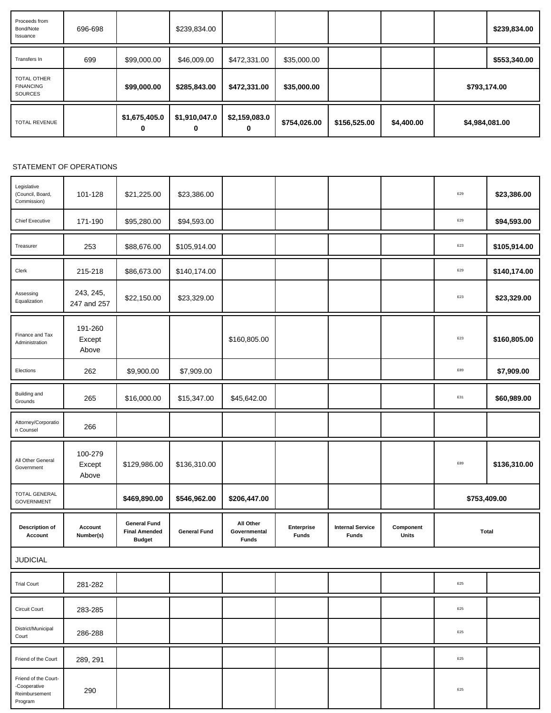| Proceeds from<br>Bond/Note<br>Issuance                   | 696-698 |                    | \$239,834.00       |                    |              |              |            | \$239,834.00   |
|----------------------------------------------------------|---------|--------------------|--------------------|--------------------|--------------|--------------|------------|----------------|
| Transfers In                                             | 699     | \$99,000.00        | \$46,009.00        | \$472,331.00       | \$35,000.00  |              |            | \$553,340.00   |
| <b>TOTAL OTHER</b><br><b>FINANCING</b><br><b>SOURCES</b> |         | \$99,000.00        | \$285,843.00       | \$472,331.00       | \$35,000.00  |              |            | \$793,174.00   |
| <b>TOTAL REVENUE</b>                                     |         | \$1,675,405.0<br>0 | \$1,910,047.0<br>0 | \$2,159,083.0<br>0 | \$754,026.00 | \$156,525.00 | \$4,400.00 | \$4,984,081.00 |

## STATEMENT OF OPERATIONS

| Legislative<br>(Council, Board,<br>Commission) | 101-128                    | \$21,225.00                                                  | \$23,386.00         |                                           |                            |                                         |                    | E29            | \$23,386.00  |
|------------------------------------------------|----------------------------|--------------------------------------------------------------|---------------------|-------------------------------------------|----------------------------|-----------------------------------------|--------------------|----------------|--------------|
| <b>Chief Executive</b>                         | 171-190                    | \$95,280.00                                                  | \$94,593.00         |                                           |                            |                                         |                    | E29            | \$94,593.00  |
| Treasurer                                      | 253                        | \$88,676.00                                                  | \$105,914.00        |                                           |                            |                                         |                    | E23            | \$105,914.00 |
| Clerk                                          | 215-218                    | \$86,673.00                                                  | \$140,174.00        |                                           |                            |                                         |                    | E29            | \$140,174.00 |
| Assessing<br>Equalization                      | 243, 245,<br>247 and 257   | \$22,150.00                                                  | \$23,329.00         |                                           |                            |                                         |                    | $\mathsf{E}23$ | \$23,329.00  |
| Finance and Tax<br>Administration              | 191-260<br>Except<br>Above |                                                              |                     | \$160,805.00                              |                            |                                         |                    | E23            | \$160,805.00 |
| Elections                                      | 262                        | \$9,900.00                                                   | \$7,909.00          |                                           |                            |                                         |                    | E89            | \$7,909.00   |
| Building and<br>Grounds                        | 265                        | \$16,000.00                                                  | \$15,347.00         | \$45,642.00                               |                            |                                         |                    | E31            | \$60,989.00  |
| Attorney/Corporatio<br>n Counsel               | 266                        |                                                              |                     |                                           |                            |                                         |                    |                |              |
|                                                |                            |                                                              |                     |                                           |                            |                                         |                    |                |              |
| All Other General<br>Government                | 100-279<br>Except<br>Above | \$129,986.00                                                 | \$136,310.00        |                                           |                            |                                         |                    | E89            | \$136,310.00 |
| <b>TOTAL GENERAL</b><br><b>GOVERNMENT</b>      |                            | \$469,890.00                                                 | \$546,962.00        | \$206,447.00                              |                            |                                         |                    | \$753,409.00   |              |
| <b>Description of</b><br>Account               | Account<br>Number(s)       | <b>General Fund</b><br><b>Final Amended</b><br><b>Budget</b> | <b>General Fund</b> | All Other<br>Governmental<br><b>Funds</b> | Enterprise<br><b>Funds</b> | <b>Internal Service</b><br><b>Funds</b> | Component<br>Units | <b>Total</b>   |              |
| <b>JUDICIAL</b>                                |                            |                                                              |                     |                                           |                            |                                         |                    |                |              |
| <b>Trial Court</b>                             | 281-282                    |                                                              |                     |                                           |                            |                                         |                    | $\mathsf{E}25$ |              |
| Circuit Court                                  | 283-285                    |                                                              |                     |                                           |                            |                                         |                    | E25            |              |
| District/Municipal<br>Court                    | 286-288                    |                                                              |                     |                                           |                            |                                         |                    | E25            |              |
| Friend of the Court                            | 289, 291                   |                                                              |                     |                                           |                            |                                         |                    | E25            |              |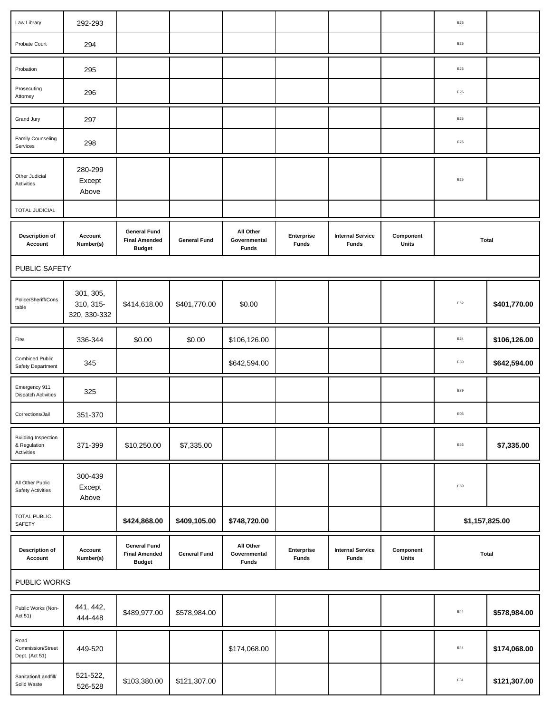| Law Library                                              | 292-293                                |                                                              |                     |                                           |                            |                                         |                    | $\mathsf{E}25$ |              |
|----------------------------------------------------------|----------------------------------------|--------------------------------------------------------------|---------------------|-------------------------------------------|----------------------------|-----------------------------------------|--------------------|----------------|--------------|
| Probate Court                                            | 294                                    |                                                              |                     |                                           |                            |                                         |                    | E25            |              |
| Probation                                                | 295                                    |                                                              |                     |                                           |                            |                                         |                    | E25            |              |
| Prosecuting<br>Attorney                                  | 296                                    |                                                              |                     |                                           |                            |                                         |                    | E25            |              |
| Grand Jury                                               | 297                                    |                                                              |                     |                                           |                            |                                         |                    | $\mathsf{E}25$ |              |
| Family Counseling<br>Services                            | 298                                    |                                                              |                     |                                           |                            |                                         |                    | E25            |              |
| Other Judicial<br>Activities                             | 280-299<br>Except<br>Above             |                                                              |                     |                                           |                            |                                         |                    | E25            |              |
| <b>TOTAL JUDICIAL</b>                                    |                                        |                                                              |                     |                                           |                            |                                         |                    |                |              |
| <b>Description of</b><br>Account                         | Account<br>Number(s)                   | <b>General Fund</b><br><b>Final Amended</b><br><b>Budget</b> | <b>General Fund</b> | All Other<br>Governmental<br><b>Funds</b> | Enterprise<br><b>Funds</b> | <b>Internal Service</b><br><b>Funds</b> | Component<br>Units | <b>Total</b>   |              |
| PUBLIC SAFETY                                            |                                        |                                                              |                     |                                           |                            |                                         |                    |                |              |
| Police/Sheriff/Cons<br>table                             | 301, 305,<br>310, 315-<br>320, 330-332 | \$414,618.00                                                 | \$401,770.00        | \$0.00                                    |                            |                                         |                    | E62            | \$401,770.00 |
| Fire                                                     | 336-344                                | \$0.00                                                       | \$0.00              | \$106,126.00                              |                            |                                         |                    | E24            | \$106,126.00 |
| <b>Combined Public</b><br>Safety Department              | 345                                    |                                                              |                     | \$642,594.00                              |                            |                                         |                    | E89            | \$642,594.00 |
| Emergency 911<br><b>Dispatch Activities</b>              | 325                                    |                                                              |                     |                                           |                            |                                         |                    | E89            |              |
| Corrections/Jail                                         | 351-370                                |                                                              |                     |                                           |                            |                                         |                    | E05            |              |
| <b>Building Inspection</b><br>& Regulation<br>Activities | 371-399                                | \$10,250.00                                                  | \$7,335.00          |                                           |                            |                                         |                    | E66            | \$7,335.00   |
| All Other Public<br><b>Safety Activities</b>             | 300-439<br>Except<br>Above             |                                                              |                     |                                           |                            |                                         |                    | E89            |              |
| <b>TOTAL PUBLIC</b><br>SAFETY                            |                                        | \$424,868.00                                                 | \$409,105.00        | \$748,720.00                              |                            |                                         |                    | \$1,157,825.00 |              |
| <b>Description of</b><br>Account                         | Account<br>Number(s)                   | <b>General Fund</b><br><b>Final Amended</b><br><b>Budget</b> | <b>General Fund</b> | All Other<br>Governmental<br><b>Funds</b> | Enterprise<br><b>Funds</b> | <b>Internal Service</b><br><b>Funds</b> | Component<br>Units | <b>Total</b>   |              |
| PUBLIC WORKS                                             |                                        |                                                              |                     |                                           |                            |                                         |                    |                |              |
| Public Works (Non-<br>Act 51)                            | 441, 442,<br>444-448                   | \$489,977.00                                                 | \$578,984.00        |                                           |                            |                                         |                    | E44            | \$578,984.00 |
| Road<br>Commission/Street<br>Dept. (Act 51)              | 449-520                                |                                                              |                     | \$174,068.00                              |                            |                                         |                    | E44            | \$174,068.00 |
| Sanitation/Landfill/<br>Solid Waste                      | 521-522,<br>526-528                    | \$103,380.00                                                 | \$121,307.00        |                                           |                            |                                         |                    | E81            | \$121,307.00 |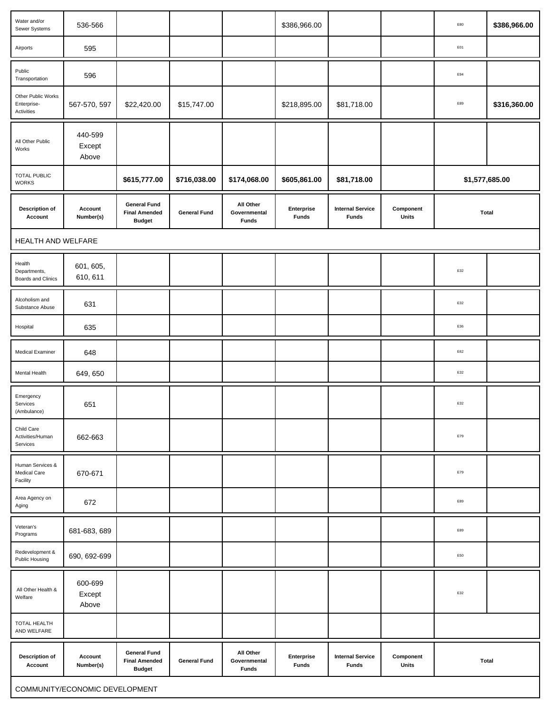| Water and/or<br>Sewer Systems                   | 536-566                    |                                                              |                     |                                           | \$386,966.00               |                                         |                    | E80            | \$386,966.00 |
|-------------------------------------------------|----------------------------|--------------------------------------------------------------|---------------------|-------------------------------------------|----------------------------|-----------------------------------------|--------------------|----------------|--------------|
| Airports                                        | 595                        |                                                              |                     |                                           |                            |                                         |                    | E01            |              |
| Public<br>Transportation                        | 596                        |                                                              |                     |                                           |                            |                                         |                    | E94            |              |
| Other Public Works<br>Enterprise-<br>Activities | 567-570, 597               | \$22,420.00                                                  | \$15,747.00         |                                           | \$218,895.00               | \$81,718.00                             |                    | E89            | \$316,360.00 |
| All Other Public<br>Works                       | 440-599<br>Except<br>Above |                                                              |                     |                                           |                            |                                         |                    |                |              |
| <b>TOTAL PUBLIC</b><br><b>WORKS</b>             |                            | \$615,777.00                                                 | \$716,038.00        | \$174,068.00                              | \$605,861.00               | \$81,718.00                             |                    | \$1,577,685.00 |              |
| <b>Description of</b><br>Account                | Account<br>Number(s)       | <b>General Fund</b><br><b>Final Amended</b><br><b>Budget</b> | <b>General Fund</b> | All Other<br>Governmental<br><b>Funds</b> | Enterprise<br><b>Funds</b> | <b>Internal Service</b><br><b>Funds</b> | Component<br>Units | <b>Total</b>   |              |
| HEALTH AND WELFARE                              |                            |                                                              |                     |                                           |                            |                                         |                    |                |              |
| Health<br>Departments,<br>Boards and Clinics    | 601, 605,<br>610, 611      |                                                              |                     |                                           |                            |                                         |                    | E32            |              |
| Alcoholism and<br>Substance Abuse               | 631                        |                                                              |                     |                                           |                            |                                         |                    | E32            |              |
| Hospital                                        | 635                        |                                                              |                     |                                           |                            |                                         |                    | E36            |              |
| <b>Medical Examiner</b>                         | 648                        |                                                              |                     |                                           |                            |                                         |                    | $\mathsf{E}62$ |              |
| Mental Health                                   | 649, 650                   |                                                              |                     |                                           |                            |                                         |                    | E32            |              |
| Emergency<br>Services<br>(Ambulance)            | 651                        |                                                              |                     |                                           |                            |                                         |                    | E32            |              |
| Child Care<br>Activities/Human<br>Services      | 662-663                    |                                                              |                     |                                           |                            |                                         |                    | E79            |              |
| Human Services &<br>Medical Care<br>Facility    | 670-671                    |                                                              |                     |                                           |                            |                                         |                    | E79            |              |
| Area Agency on<br>Aging                         | 672                        |                                                              |                     |                                           |                            |                                         |                    | $_{\rm E89}$   |              |
| Veteran's<br>Programs                           | 681-683, 689               |                                                              |                     |                                           |                            |                                         |                    | E89            |              |
| Redevelopment &<br>Public Housing               | 690, 692-699               |                                                              |                     |                                           |                            |                                         |                    | E50            |              |
| All Other Health &<br>Welfare                   | 600-699<br>Except<br>Above |                                                              |                     |                                           |                            |                                         |                    | E32            |              |
| TOTAL HEALTH<br>AND WELFARE                     |                            |                                                              |                     |                                           |                            |                                         |                    |                |              |
| <b>Description of</b><br>Account                | Account<br>Number(s)       | <b>General Fund</b><br><b>Final Amended</b><br><b>Budget</b> | <b>General Fund</b> | All Other<br>Governmental<br><b>Funds</b> | Enterprise<br><b>Funds</b> | <b>Internal Service</b><br><b>Funds</b> | Component<br>Units | <b>Total</b>   |              |
| COMMUNITY/ECONOMIC DEVELOPMENT                  |                            |                                                              |                     |                                           |                            |                                         |                    |                |              |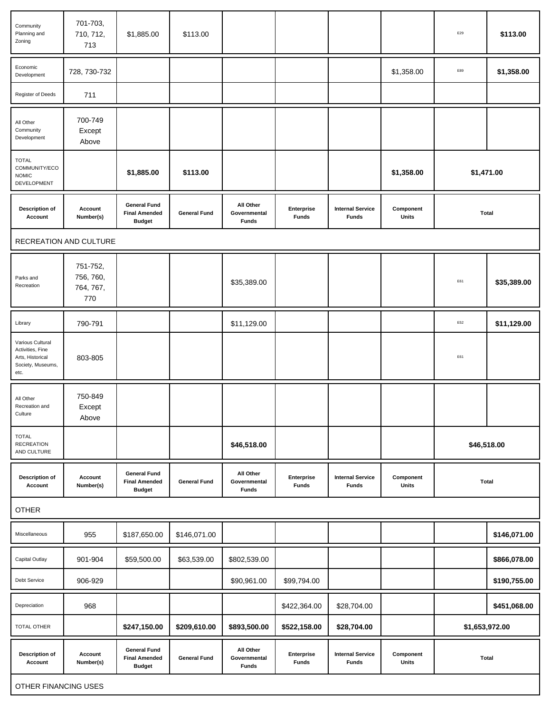| Community<br>Planning and<br>Zoning                                                   | 701-703,<br>710, 712,<br>713              | \$1,885.00                                                   | \$113.00            |                                           |                            |                                         |                    | E29            | \$113.00     |
|---------------------------------------------------------------------------------------|-------------------------------------------|--------------------------------------------------------------|---------------------|-------------------------------------------|----------------------------|-----------------------------------------|--------------------|----------------|--------------|
| Economic<br>Development                                                               | 728, 730-732                              |                                                              |                     |                                           |                            |                                         | \$1,358.00         | E89            | \$1,358.00   |
| Register of Deeds                                                                     | 711                                       |                                                              |                     |                                           |                            |                                         |                    |                |              |
| All Other<br>Community<br>Development                                                 | 700-749<br>Except<br>Above                |                                                              |                     |                                           |                            |                                         |                    |                |              |
| <b>TOTAL</b><br>COMMUNITY/ECO<br><b>NOMIC</b><br>DEVELOPMENT                          |                                           | \$1,885.00                                                   | \$113.00            |                                           |                            |                                         | \$1,358.00         | \$1,471.00     |              |
| <b>Description of</b><br>Account                                                      | Account<br>Number(s)                      | <b>General Fund</b><br><b>Final Amended</b><br><b>Budget</b> | <b>General Fund</b> | All Other<br>Governmental<br><b>Funds</b> | Enterprise<br><b>Funds</b> | <b>Internal Service</b><br><b>Funds</b> | Component<br>Units | <b>Total</b>   |              |
|                                                                                       | RECREATION AND CULTURE                    |                                                              |                     |                                           |                            |                                         |                    |                |              |
| Parks and<br>Recreation                                                               | 751-752,<br>756, 760,<br>764, 767,<br>770 |                                                              |                     | \$35,389.00                               |                            |                                         |                    | E61            | \$35,389.00  |
| Library                                                                               | 790-791                                   |                                                              |                     | \$11,129.00                               |                            |                                         |                    | E52            | \$11,129.00  |
| Various Cultural<br>Activities, Fine<br>Arts, Historical<br>Society, Museums,<br>etc. | 803-805                                   |                                                              |                     |                                           |                            |                                         |                    | E61            |              |
| All Other<br>Recreation and<br>Culture                                                | 750-849<br>Except<br>Above                |                                                              |                     |                                           |                            |                                         |                    |                |              |
| <b>TOTAL</b><br><b>RECREATION</b><br>AND CULTURE                                      |                                           |                                                              |                     | \$46,518.00                               |                            |                                         |                    | \$46,518.00    |              |
| <b>Description of</b><br>Account                                                      | Account<br>Number(s)                      | <b>General Fund</b><br><b>Final Amended</b><br><b>Budget</b> | <b>General Fund</b> | All Other<br>Governmental<br><b>Funds</b> | Enterprise<br><b>Funds</b> | <b>Internal Service</b><br><b>Funds</b> | Component<br>Units | <b>Total</b>   |              |
| <b>OTHER</b>                                                                          |                                           |                                                              |                     |                                           |                            |                                         |                    |                |              |
| Miscellaneous                                                                         | 955                                       | \$187,650.00                                                 | \$146,071.00        |                                           |                            |                                         |                    |                | \$146,071.00 |
| Capital Outlay                                                                        | 901-904                                   | \$59,500.00                                                  | \$63,539.00         | \$802,539.00                              |                            |                                         |                    |                | \$866,078.00 |
| Debt Service                                                                          | 906-929                                   |                                                              |                     | \$90,961.00                               | \$99,794.00                |                                         |                    |                | \$190,755.00 |
| Depreciation                                                                          | 968                                       |                                                              |                     |                                           | \$422,364.00               | \$28,704.00                             |                    |                | \$451,068.00 |
| TOTAL OTHER                                                                           |                                           | \$247,150.00                                                 | \$209,610.00        | \$893,500.00                              | \$522,158.00               | \$28,704.00                             |                    | \$1,653,972.00 |              |
| <b>Description of</b><br>Account                                                      | Account<br>Number(s)                      | <b>General Fund</b><br><b>Final Amended</b><br><b>Budget</b> | <b>General Fund</b> | All Other<br>Governmental<br><b>Funds</b> | Enterprise<br><b>Funds</b> | <b>Internal Service</b><br><b>Funds</b> | Component<br>Units | <b>Total</b>   |              |
| OTHER FINANCING USES                                                                  |                                           |                                                              |                     |                                           |                            |                                         |                    |                |              |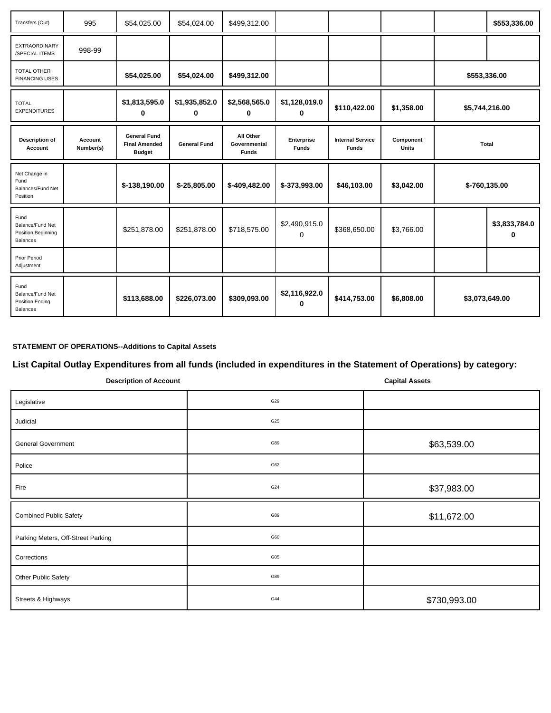| Transfers (Out)                                                | 995                  | \$54,025.00                                                  | \$54,024.00         | \$499,312.00                              |                            |                                         |                           |              | \$553,336.00       |
|----------------------------------------------------------------|----------------------|--------------------------------------------------------------|---------------------|-------------------------------------------|----------------------------|-----------------------------------------|---------------------------|--------------|--------------------|
| <b>EXTRAORDINARY</b><br>/SPECIAL ITEMS                         | 998-99               |                                                              |                     |                                           |                            |                                         |                           |              |                    |
| <b>TOTAL OTHER</b><br><b>FINANCING USES</b>                    |                      | \$54,025.00                                                  | \$54,024.00         | \$499,312.00                              |                            |                                         |                           | \$553,336.00 |                    |
| <b>TOTAL</b><br><b>EXPENDITURES</b>                            |                      | \$1,813,595.0<br>0                                           | \$1,935,852.0<br>0  | \$2,568,565.0<br>0                        | \$1,128,019.0<br>0         | \$110,422.00                            | \$1,358.00                |              | \$5,744,216.00     |
| <b>Description of</b><br><b>Account</b>                        | Account<br>Number(s) | <b>General Fund</b><br><b>Final Amended</b><br><b>Budget</b> | <b>General Fund</b> | All Other<br>Governmental<br><b>Funds</b> | Enterprise<br><b>Funds</b> | <b>Internal Service</b><br><b>Funds</b> | Component<br><b>Units</b> | Total        |                    |
| Net Change in<br>Fund<br>Balances/Fund Net<br>Position         |                      | \$-138,190.00                                                | \$-25,805.00        | \$-409,482.00                             | \$-373,993.00              | \$46,103.00                             | \$3,042.00                |              | \$-760,135.00      |
| Fund<br>Balance/Fund Net<br>Position Beginning<br>Balances     |                      | \$251,878.00                                                 | \$251,878.00        | \$718,575.00                              | \$2,490,915.0<br>$\Omega$  | \$368,650.00                            | \$3,766.00                |              | \$3,833,784.0<br>n |
| <b>Prior Period</b><br>Adjustment                              |                      |                                                              |                     |                                           |                            |                                         |                           |              |                    |
| Fund<br>Balance/Fund Net<br>Position Ending<br><b>Balances</b> |                      | \$113,688.00                                                 | \$226,073.00        | \$309,093.00                              | \$2,116,922.0<br>ŋ         | \$414,753.00                            | \$6,808.00                |              | \$3,073,649.00     |

## **STATEMENT OF OPERATIONS--Additions to Capital Assets**

# **List Capital Outlay Expenditures from all funds (included in expenditures in the Statement of Operations) by category:**

| <b>Description of Account</b>      |     | <b>Capital Assets</b> |  |  |
|------------------------------------|-----|-----------------------|--|--|
| Legislative                        | G29 |                       |  |  |
| Judicial                           | G25 |                       |  |  |
| <b>General Government</b>          | G89 | \$63,539.00           |  |  |
| Police                             | G62 |                       |  |  |
| Fire                               | G24 | \$37,983.00           |  |  |
| <b>Combined Public Safety</b>      | G89 | \$11,672.00           |  |  |
| Parking Meters, Off-Street Parking | G60 |                       |  |  |
| Corrections                        | G05 |                       |  |  |
| Other Public Safety                | G89 |                       |  |  |
| Streets & Highways                 | G44 | \$730,993.00          |  |  |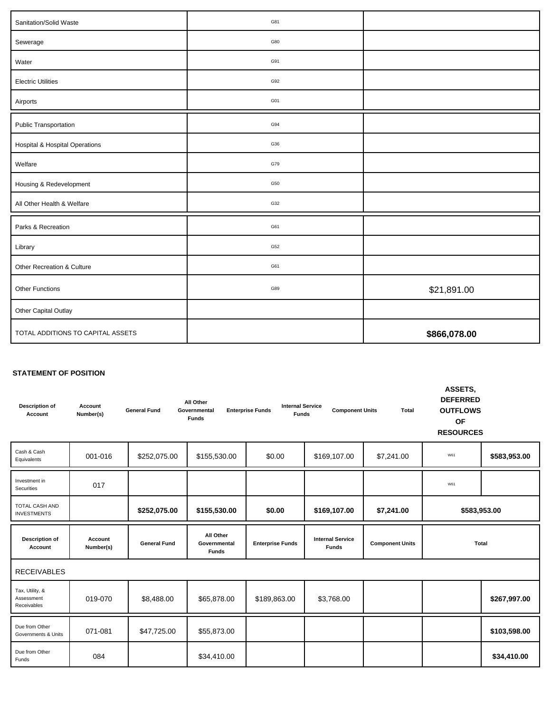| Sanitation/Solid Waste                    | G81 |              |
|-------------------------------------------|-----|--------------|
| Sewerage                                  | G80 |              |
| Water                                     | G91 |              |
| <b>Electric Utilities</b>                 | G92 |              |
| Airports                                  | G01 |              |
| <b>Public Transportation</b>              | G94 |              |
| <b>Hospital &amp; Hospital Operations</b> | G36 |              |
| Welfare                                   | G79 |              |
| Housing & Redevelopment                   | G50 |              |
| All Other Health & Welfare                | G32 |              |
| Parks & Recreation                        | G61 |              |
| Library                                   | G52 |              |
| Other Recreation & Culture                | G61 |              |
| Other Functions                           | G89 | \$21,891.00  |
| Other Capital Outlay                      |     |              |
| TOTAL ADDITIONS TO CAPITAL ASSETS         |     | \$866,078.00 |

### **STATEMENT OF POSITION**

| <b>Description of</b><br>Account             | Account<br>Number(s) | <b>General Fund</b> | All Other<br>Governmental<br><b>Funds</b> | <b>Internal Service</b><br><b>Enterprise Funds</b><br><b>Funds</b> | <b>Component Units</b>                  | <b>Total</b>           | ASSETS,<br><b>DEFERRED</b><br><b>OUTFLOWS</b><br><b>OF</b><br><b>RESOURCES</b> |              |
|----------------------------------------------|----------------------|---------------------|-------------------------------------------|--------------------------------------------------------------------|-----------------------------------------|------------------------|--------------------------------------------------------------------------------|--------------|
| Cash & Cash<br>Equivalents                   | 001-016              | \$252,075.00        | \$155,530.00                              | \$0.00                                                             | \$169,107.00                            | \$7,241.00             | W61                                                                            | \$583,953.00 |
| Investment in<br>Securities                  | 017                  |                     |                                           |                                                                    |                                         |                        | W61                                                                            |              |
| <b>TOTAL CASH AND</b><br><b>INVESTMENTS</b>  |                      | \$252,075.00        | \$155,530.00                              | \$0.00                                                             | \$169,107.00                            | \$7,241.00             | \$583,953.00                                                                   |              |
| Description of<br>Account                    | Account<br>Number(s) | <b>General Fund</b> | All Other<br>Governmental<br><b>Funds</b> | <b>Enterprise Funds</b>                                            | <b>Internal Service</b><br><b>Funds</b> | <b>Component Units</b> | Total                                                                          |              |
| <b>RECEIVABLES</b>                           |                      |                     |                                           |                                                                    |                                         |                        |                                                                                |              |
| Tax, Utility, &<br>Assessment<br>Receivables | 019-070              | \$8,488.00          | \$65,878.00                               | \$189,863.00                                                       | \$3,768.00                              |                        |                                                                                | \$267,997.00 |
| Due from Other<br>Governments & Units        | 071-081              | \$47,725.00         | \$55,873.00                               |                                                                    |                                         |                        |                                                                                | \$103,598.00 |
| Due from Other<br>Funds                      | 084                  |                     | \$34,410.00                               |                                                                    |                                         |                        |                                                                                | \$34,410.00  |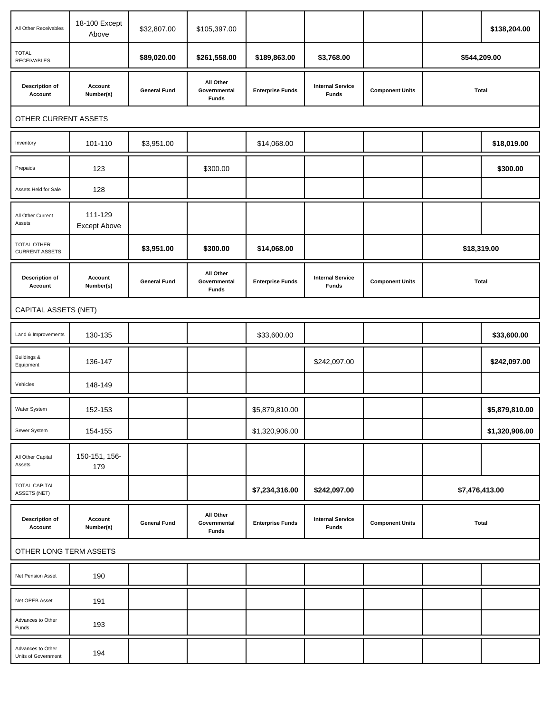| All Other Receivables                       | 18-100 Except<br>Above  | \$32,807.00         | \$105,397.00                              |                         |                                         |                        |                | \$138,204.00   |
|---------------------------------------------|-------------------------|---------------------|-------------------------------------------|-------------------------|-----------------------------------------|------------------------|----------------|----------------|
| <b>TOTAL</b><br><b>RECEIVABLES</b>          |                         | \$89,020.00         | \$261,558.00                              | \$189,863.00            | \$3,768.00                              |                        | \$544,209.00   |                |
| <b>Description of</b><br>Account            | Account<br>Number(s)    | <b>General Fund</b> | All Other<br>Governmental<br><b>Funds</b> | <b>Enterprise Funds</b> | <b>Internal Service</b><br><b>Funds</b> | <b>Component Units</b> | <b>Total</b>   |                |
| OTHER CURRENT ASSETS                        |                         |                     |                                           |                         |                                         |                        |                |                |
| Inventory                                   | 101-110                 | \$3,951.00          |                                           | \$14,068.00             |                                         |                        |                | \$18,019.00    |
| Prepaids                                    | 123                     |                     | \$300.00                                  |                         |                                         |                        |                | \$300.00       |
| Assets Held for Sale                        | 128                     |                     |                                           |                         |                                         |                        |                |                |
| All Other Current<br>Assets                 | 111-129<br>Except Above |                     |                                           |                         |                                         |                        |                |                |
| <b>TOTAL OTHER</b><br><b>CURRENT ASSETS</b> |                         | \$3,951.00          | \$300.00                                  | \$14,068.00             |                                         |                        | \$18,319.00    |                |
| <b>Description of</b><br>Account            | Account<br>Number(s)    | <b>General Fund</b> | All Other<br>Governmental<br><b>Funds</b> | <b>Enterprise Funds</b> | <b>Internal Service</b><br><b>Funds</b> | <b>Component Units</b> | <b>Total</b>   |                |
| CAPITAL ASSETS (NET)                        |                         |                     |                                           |                         |                                         |                        |                |                |
| Land & Improvements                         | 130-135                 |                     |                                           | \$33,600.00             |                                         |                        |                | \$33,600.00    |
| Buildings &<br>Equipment                    | 136-147                 |                     |                                           |                         | \$242,097.00                            |                        |                | \$242,097.00   |
| Vehicles                                    | 148-149                 |                     |                                           |                         |                                         |                        |                |                |
| Water System                                | 152-153                 |                     |                                           | \$5,879,810.00          |                                         |                        |                | \$5,879,810.00 |
| Sewer System                                | 154-155                 |                     |                                           | \$1,320,906.00          |                                         |                        |                | \$1,320,906.00 |
| All Other Capital<br>Assets                 | 150-151, 156-<br>179    |                     |                                           |                         |                                         |                        |                |                |
| <b>TOTAL CAPITAL</b><br>ASSETS (NET)        |                         |                     |                                           | \$7,234,316.00          | \$242,097.00                            |                        | \$7,476,413.00 |                |
| <b>Description of</b><br>Account            | Account<br>Number(s)    | <b>General Fund</b> | All Other<br>Governmental<br><b>Funds</b> | <b>Enterprise Funds</b> | <b>Internal Service</b><br><b>Funds</b> | <b>Component Units</b> | <b>Total</b>   |                |
| OTHER LONG TERM ASSETS                      |                         |                     |                                           |                         |                                         |                        |                |                |
| Net Pension Asset                           | 190                     |                     |                                           |                         |                                         |                        |                |                |
| Net OPEB Asset                              | 191                     |                     |                                           |                         |                                         |                        |                |                |
| Advances to Other<br>Funds                  | 193                     |                     |                                           |                         |                                         |                        |                |                |
| Advances to Other<br>Units of Government    | 194                     |                     |                                           |                         |                                         |                        |                |                |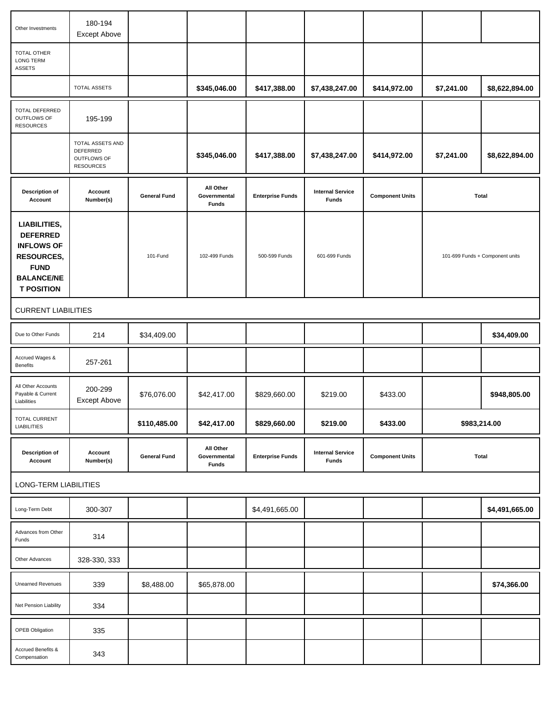| Other Investments                                                                                                                  | 180-194<br>Except Above                                         |                     |                                           |                         |                                         |                        |              |                                 |
|------------------------------------------------------------------------------------------------------------------------------------|-----------------------------------------------------------------|---------------------|-------------------------------------------|-------------------------|-----------------------------------------|------------------------|--------------|---------------------------------|
| TOTAL OTHER<br>LONG TERM<br><b>ASSETS</b>                                                                                          |                                                                 |                     |                                           |                         |                                         |                        |              |                                 |
|                                                                                                                                    | <b>TOTAL ASSETS</b>                                             |                     | \$345,046.00                              | \$417,388.00            | \$7,438,247.00                          | \$414,972.00           | \$7,241.00   | \$8,622,894.00                  |
| TOTAL DEFERRED<br>OUTFLOWS OF<br><b>RESOURCES</b>                                                                                  | 195-199                                                         |                     |                                           |                         |                                         |                        |              |                                 |
|                                                                                                                                    | TOTAL ASSETS AND<br>DEFERRED<br>OUTFLOWS OF<br><b>RESOURCES</b> |                     | \$345,046.00                              | \$417,388.00            | \$7,438,247.00                          | \$414,972.00           | \$7,241.00   | \$8,622,894.00                  |
| <b>Description of</b><br>Account                                                                                                   | Account<br>Number(s)                                            | <b>General Fund</b> | All Other<br>Governmental<br><b>Funds</b> | <b>Enterprise Funds</b> | <b>Internal Service</b><br><b>Funds</b> | <b>Component Units</b> |              | <b>Total</b>                    |
| LIABILITIES,<br><b>DEFERRED</b><br><b>INFLOWS OF</b><br><b>RESOURCES,</b><br><b>FUND</b><br><b>BALANCE/NE</b><br><b>T POSITION</b> |                                                                 | 101-Fund            | 102-499 Funds                             | 500-599 Funds           | 601-699 Funds                           |                        |              | 101-699 Funds + Component units |
| <b>CURRENT LIABILITIES</b>                                                                                                         |                                                                 |                     |                                           |                         |                                         |                        |              |                                 |
| Due to Other Funds                                                                                                                 | 214                                                             | \$34,409.00         |                                           |                         |                                         |                        |              | \$34,409.00                     |
| Accrued Wages &<br>Benefits                                                                                                        | 257-261                                                         |                     |                                           |                         |                                         |                        |              |                                 |
| All Other Accounts<br>Payable & Current<br>Liabilities                                                                             | 200-299<br>Except Above                                         | \$76,076.00         | \$42,417.00                               | \$829,660.00            | \$219.00                                | \$433.00               |              | \$948,805.00                    |
| <b>TOTAL CURRENT</b><br><b>LIABILITIES</b>                                                                                         |                                                                 | \$110,485.00        | \$42,417.00                               | \$829,660.00            | \$219.00                                | \$433.00               | \$983,214.00 |                                 |
| <b>Description of</b><br>Account                                                                                                   | Account<br>Number(s)                                            | <b>General Fund</b> | All Other<br>Governmental<br><b>Funds</b> | <b>Enterprise Funds</b> | <b>Internal Service</b><br><b>Funds</b> | <b>Component Units</b> |              | <b>Total</b>                    |
| LONG-TERM LIABILITIES                                                                                                              |                                                                 |                     |                                           |                         |                                         |                        |              |                                 |
| Long-Term Debt                                                                                                                     | 300-307                                                         |                     |                                           | \$4,491,665.00          |                                         |                        |              | \$4,491,665.00                  |
| Advances from Other<br>Funds                                                                                                       | 314                                                             |                     |                                           |                         |                                         |                        |              |                                 |
| Other Advances                                                                                                                     | 328-330, 333                                                    |                     |                                           |                         |                                         |                        |              |                                 |
| Unearned Revenues                                                                                                                  | 339                                                             | \$8,488.00          | \$65,878.00                               |                         |                                         |                        |              | \$74,366.00                     |
| Net Pension Liability                                                                                                              | 334                                                             |                     |                                           |                         |                                         |                        |              |                                 |
| OPEB Obligation                                                                                                                    | 335                                                             |                     |                                           |                         |                                         |                        |              |                                 |
| Accrued Benefits &<br>Compensation                                                                                                 | 343                                                             |                     |                                           |                         |                                         |                        |              |                                 |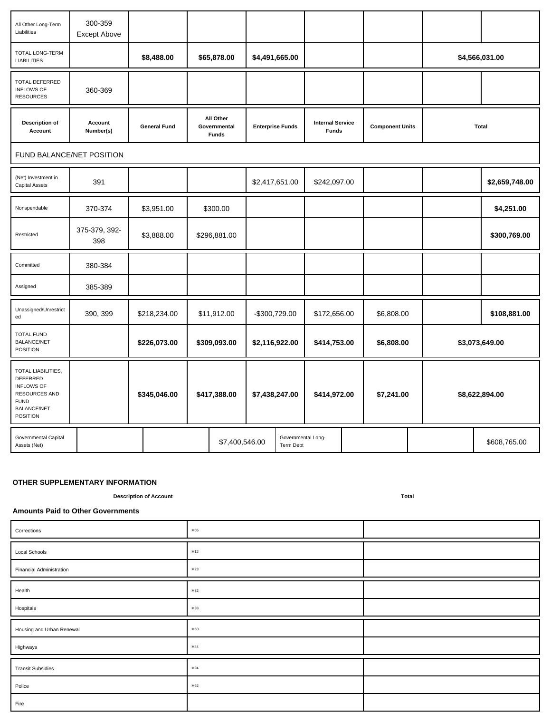| All Other Long-Term<br>Liabilities                                                                                           | 300-359<br><b>Except Above</b> |                     |                                           |                |                                 |                                         |                        |  |                |
|------------------------------------------------------------------------------------------------------------------------------|--------------------------------|---------------------|-------------------------------------------|----------------|---------------------------------|-----------------------------------------|------------------------|--|----------------|
| TOTAL LONG-TERM<br><b>LIABILITIES</b>                                                                                        |                                | \$8,488.00          | \$65,878.00                               | \$4,491,665.00 |                                 |                                         |                        |  | \$4,566,031.00 |
| TOTAL DEFERRED<br><b>INFLOWS OF</b><br><b>RESOURCES</b>                                                                      | 360-369                        |                     |                                           |                |                                 |                                         |                        |  |                |
| Description of<br>Account                                                                                                    | Account<br>Number(s)           | <b>General Fund</b> | All Other<br>Governmental<br><b>Funds</b> |                | <b>Enterprise Funds</b>         | <b>Internal Service</b><br><b>Funds</b> | <b>Component Units</b> |  | Total          |
|                                                                                                                              | FUND BALANCE/NET POSITION      |                     |                                           |                |                                 |                                         |                        |  |                |
| (Net) Investment in<br>Capital Assets                                                                                        | 391                            |                     |                                           | \$2,417,651.00 |                                 | \$242,097.00                            |                        |  | \$2,659,748.00 |
| Nonspendable                                                                                                                 | 370-374                        | \$3,951.00          | \$300.00                                  |                |                                 |                                         |                        |  | \$4,251.00     |
| Restricted                                                                                                                   | 375-379, 392-<br>398           | \$3,888.00          | \$296,881.00                              |                |                                 |                                         |                        |  | \$300,769.00   |
| Committed                                                                                                                    | 380-384                        |                     |                                           |                |                                 |                                         |                        |  |                |
| Assigned                                                                                                                     | 385-389                        |                     |                                           |                |                                 |                                         |                        |  |                |
| Unassigned/Unrestrict<br>ed                                                                                                  | 390, 399                       | \$218,234.00        | \$11,912.00                               | -\$300,729.00  |                                 | \$172,656.00                            | \$6,808.00             |  | \$108,881.00   |
| <b>TOTAL FUND</b><br><b>BALANCE/NET</b><br><b>POSITION</b>                                                                   |                                | \$226,073.00        | \$309,093.00                              | \$2,116,922.00 |                                 | \$414,753.00                            | \$6,808.00             |  | \$3,073,649.00 |
| TOTAL LIABILITIES,<br>DEFERRED<br><b>INFLOWS OF</b><br>RESOURCES AND<br><b>FUND</b><br><b>BALANCE/NET</b><br><b>POSITION</b> |                                | \$345,046.00        | \$417,388.00                              | \$7,438,247.00 |                                 | \$414,972.00                            | \$7,241.00             |  | \$8,622,894.00 |
| Governmental Capital<br>Assets (Net)                                                                                         |                                |                     | \$7,400,546.00                            |                | Governmental Long-<br>Term Debt |                                         |                        |  | \$608,765.00   |

#### **OTHER SUPPLEMENTARY INFORMATION**

**Description of Account Total**

#### **Amounts Paid to Other Governments**

| Corrections               | M05 |  |
|---------------------------|-----|--|
| Local Schools             | M12 |  |
| Financial Administration  | M23 |  |
| Health                    | M32 |  |
| Hospitals                 | M38 |  |
| Housing and Urban Renewal | M50 |  |
| Highways                  | M44 |  |
| <b>Transit Subsidies</b>  | M94 |  |
| Police                    | M62 |  |
| Fire                      |     |  |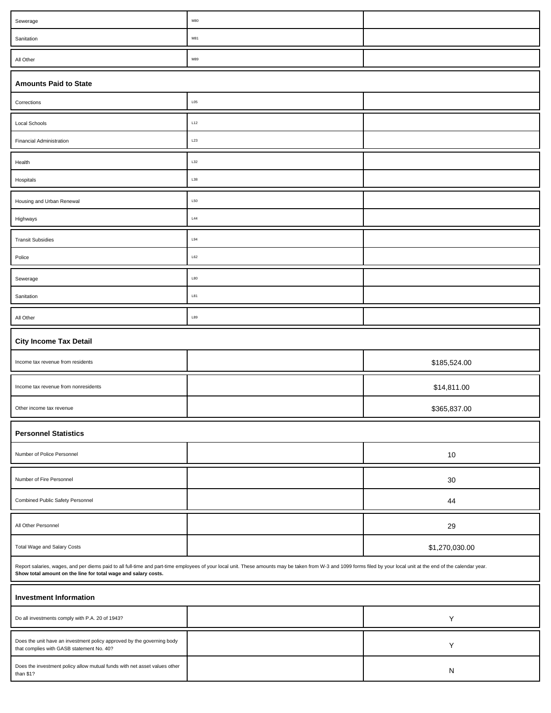| Sewerage                                                                                                            | ${\sf M}80$                                                                                                                                                                                                          |                |
|---------------------------------------------------------------------------------------------------------------------|----------------------------------------------------------------------------------------------------------------------------------------------------------------------------------------------------------------------|----------------|
| Sanitation                                                                                                          | M81                                                                                                                                                                                                                  |                |
| All Other                                                                                                           | M89                                                                                                                                                                                                                  |                |
| <b>Amounts Paid to State</b>                                                                                        |                                                                                                                                                                                                                      |                |
| Corrections                                                                                                         | L05                                                                                                                                                                                                                  |                |
| Local Schools                                                                                                       | L12                                                                                                                                                                                                                  |                |
| <b>Financial Administration</b>                                                                                     | L23                                                                                                                                                                                                                  |                |
| Health                                                                                                              | L32                                                                                                                                                                                                                  |                |
| Hospitals                                                                                                           | L38                                                                                                                                                                                                                  |                |
| Housing and Urban Renewal                                                                                           | L50                                                                                                                                                                                                                  |                |
| Highways                                                                                                            | L44                                                                                                                                                                                                                  |                |
| <b>Transit Subsidies</b>                                                                                            | L94                                                                                                                                                                                                                  |                |
| Police                                                                                                              | L62                                                                                                                                                                                                                  |                |
| Sewerage                                                                                                            | L80                                                                                                                                                                                                                  |                |
| Sanitation                                                                                                          | L81                                                                                                                                                                                                                  |                |
| All Other                                                                                                           | L89                                                                                                                                                                                                                  |                |
| <b>City Income Tax Detail</b>                                                                                       |                                                                                                                                                                                                                      |                |
| Income tax revenue from residents                                                                                   |                                                                                                                                                                                                                      | \$185,524.00   |
| Income tax revenue from nonresidents                                                                                |                                                                                                                                                                                                                      | \$14,811.00    |
| Other income tax revenue                                                                                            |                                                                                                                                                                                                                      | \$365,837.00   |
| <b>Personnel Statistics</b>                                                                                         |                                                                                                                                                                                                                      |                |
| Number of Police Personnel                                                                                          |                                                                                                                                                                                                                      | $10$           |
| Number of Fire Personnel                                                                                            |                                                                                                                                                                                                                      | 30             |
| Combined Public Safety Personnel                                                                                    |                                                                                                                                                                                                                      | 44             |
| All Other Personnel                                                                                                 |                                                                                                                                                                                                                      | 29             |
| Total Wage and Salary Costs                                                                                         |                                                                                                                                                                                                                      | \$1,270,030.00 |
| Show total amount on the line for total wage and salary costs.                                                      | Report salaries, wages, and per diems paid to all full-time and part-time employees of your local unit. These amounts may be taken from W-3 and 1099 forms filed by your local unit at the end of the calendar year. |                |
| <b>Investment Information</b>                                                                                       |                                                                                                                                                                                                                      |                |
| Do all investments comply with P.A. 20 of 1943?                                                                     |                                                                                                                                                                                                                      | Υ              |
| Does the unit have an investment policy approved by the governing body<br>that complies with GASB statement No. 40? |                                                                                                                                                                                                                      | $\sf Y$        |
| Does the investment policy allow mutual funds with net asset values other<br>than \$1?                              |                                                                                                                                                                                                                      | ${\sf N}$      |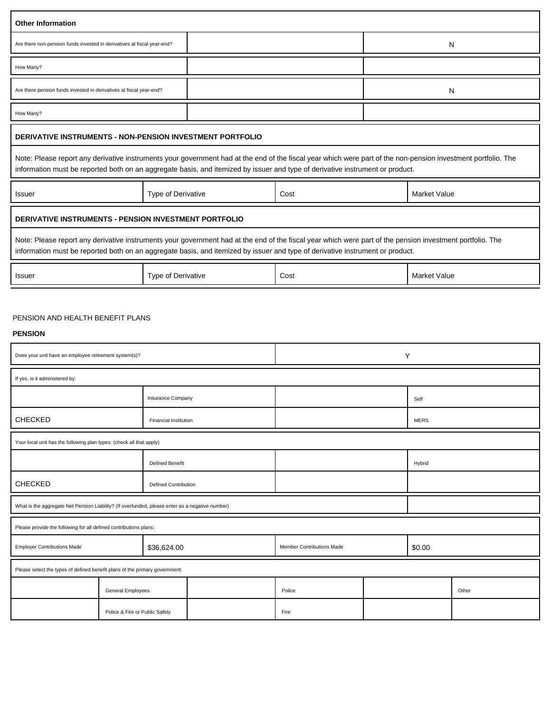| <b>Other Information</b>                                                                        |                                |                              |                                                                                                                                                                                                                                                                                                |                           |   |                     |       |
|-------------------------------------------------------------------------------------------------|--------------------------------|------------------------------|------------------------------------------------------------------------------------------------------------------------------------------------------------------------------------------------------------------------------------------------------------------------------------------------|---------------------------|---|---------------------|-------|
| Are there non-pension funds invested in derivatives at fiscal year-end?                         |                                |                              |                                                                                                                                                                                                                                                                                                |                           |   | N                   |       |
| How Many?                                                                                       |                                |                              |                                                                                                                                                                                                                                                                                                |                           |   |                     |       |
| Are there pension funds invested in derivatives at fiscal year-end?                             |                                |                              |                                                                                                                                                                                                                                                                                                |                           |   | N                   |       |
| How Many?                                                                                       |                                |                              |                                                                                                                                                                                                                                                                                                |                           |   |                     |       |
| <b>DERIVATIVE INSTRUMENTS - NON-PENSION INVESTMENT PORTFOLIO</b>                                |                                |                              |                                                                                                                                                                                                                                                                                                |                           |   |                     |       |
|                                                                                                 |                                |                              | Note: Please report any derivative instruments your government had at the end of the fiscal year which were part of the non-pension investment portfolio. The<br>information must be reported both on an aggregate basis, and itemized by issuer and type of derivative instrument or product. |                           |   |                     |       |
| Issuer                                                                                          |                                | Type of Derivative           |                                                                                                                                                                                                                                                                                                | Cost                      |   | Market Value        |       |
| DERIVATIVE INSTRUMENTS - PENSION INVESTMENT PORTFOLIO                                           |                                |                              |                                                                                                                                                                                                                                                                                                |                           |   |                     |       |
|                                                                                                 |                                |                              | Note: Please report any derivative instruments your government had at the end of the fiscal year which were part of the pension investment portfolio. The<br>information must be reported both on an aggregate basis, and itemized by issuer and type of derivative instrument or product.     |                           |   |                     |       |
| Issuer                                                                                          |                                | Type of Derivative           |                                                                                                                                                                                                                                                                                                | Cost                      |   | <b>Market Value</b> |       |
| PENSION AND HEALTH BENEFIT PLANS<br><b>PENSION</b>                                              |                                |                              |                                                                                                                                                                                                                                                                                                |                           |   |                     |       |
| Does your unit have an employee retirement system(s)?                                           |                                |                              |                                                                                                                                                                                                                                                                                                |                           | Υ |                     |       |
| If yes, is it administered by:                                                                  |                                |                              |                                                                                                                                                                                                                                                                                                |                           |   |                     |       |
|                                                                                                 |                                | Insurance Company            |                                                                                                                                                                                                                                                                                                |                           |   | Self                |       |
| <b>CHECKED</b>                                                                                  |                                | <b>Financial Institution</b> |                                                                                                                                                                                                                                                                                                |                           |   | <b>MERS</b>         |       |
| Your local unit has the following plan types: (check all that apply)                            |                                |                              |                                                                                                                                                                                                                                                                                                |                           |   |                     |       |
|                                                                                                 |                                | <b>Defined Benefit</b>       |                                                                                                                                                                                                                                                                                                |                           |   | Hybrid              |       |
| <b>CHECKED</b>                                                                                  |                                | <b>Defined Contribution</b>  |                                                                                                                                                                                                                                                                                                |                           |   |                     |       |
| What is the aggregate Net Pension Liability? (If overfunded, please enter as a negative number) |                                |                              |                                                                                                                                                                                                                                                                                                |                           |   |                     |       |
| Please provide the following for all defined contributions plans:                               |                                |                              |                                                                                                                                                                                                                                                                                                |                           |   |                     |       |
| <b>Employer Contributions Made</b>                                                              |                                | \$36,624.00                  |                                                                                                                                                                                                                                                                                                | Member Contributions Made |   | \$0.00              |       |
| Please select the types of defined benefit plans of the primary government:                     |                                |                              |                                                                                                                                                                                                                                                                                                |                           |   |                     |       |
|                                                                                                 | General Employees              |                              |                                                                                                                                                                                                                                                                                                | Police                    |   |                     | Other |
|                                                                                                 | Police & Fire or Public Safety |                              |                                                                                                                                                                                                                                                                                                | Fire                      |   |                     |       |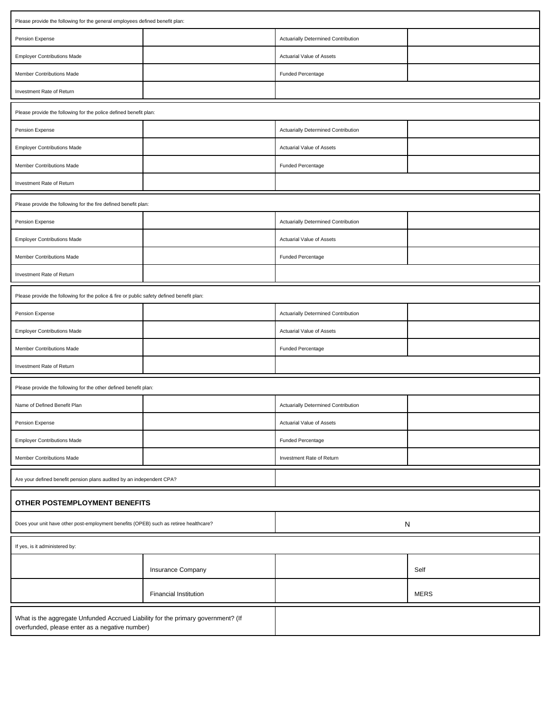| Please provide the following for the general employees defined benefit plan:                                                       |                              |                                     |             |  |  |  |  |
|------------------------------------------------------------------------------------------------------------------------------------|------------------------------|-------------------------------------|-------------|--|--|--|--|
| Pension Expense                                                                                                                    |                              | Actuarially Determined Contribution |             |  |  |  |  |
| <b>Employer Contributions Made</b>                                                                                                 |                              | Actuarial Value of Assets           |             |  |  |  |  |
| Member Contributions Made                                                                                                          |                              | Funded Percentage                   |             |  |  |  |  |
| Investment Rate of Return                                                                                                          |                              |                                     |             |  |  |  |  |
| Please provide the following for the police defined benefit plan:                                                                  |                              |                                     |             |  |  |  |  |
| Pension Expense                                                                                                                    |                              | Actuarially Determined Contribution |             |  |  |  |  |
| <b>Employer Contributions Made</b>                                                                                                 |                              | Actuarial Value of Assets           |             |  |  |  |  |
| Member Contributions Made                                                                                                          |                              | <b>Funded Percentage</b>            |             |  |  |  |  |
| Investment Rate of Return                                                                                                          |                              |                                     |             |  |  |  |  |
| Please provide the following for the fire defined benefit plan:                                                                    |                              |                                     |             |  |  |  |  |
| Pension Expense                                                                                                                    |                              | Actuarially Determined Contribution |             |  |  |  |  |
| <b>Employer Contributions Made</b>                                                                                                 |                              | Actuarial Value of Assets           |             |  |  |  |  |
| Member Contributions Made                                                                                                          |                              | Funded Percentage                   |             |  |  |  |  |
| Investment Rate of Return                                                                                                          |                              |                                     |             |  |  |  |  |
| Please provide the following for the police & fire or public safety defined benefit plan:                                          |                              |                                     |             |  |  |  |  |
| Pension Expense                                                                                                                    |                              | Actuarially Determined Contribution |             |  |  |  |  |
| <b>Employer Contributions Made</b>                                                                                                 |                              | Actuarial Value of Assets           |             |  |  |  |  |
| Member Contributions Made                                                                                                          |                              | Funded Percentage                   |             |  |  |  |  |
| Investment Rate of Return                                                                                                          |                              |                                     |             |  |  |  |  |
| Please provide the following for the other defined benefit plan:                                                                   |                              |                                     |             |  |  |  |  |
| Name of Defined Benefit Plan                                                                                                       |                              | Actuarially Determined Contribution |             |  |  |  |  |
| Pension Expense                                                                                                                    |                              | Actuarial Value of Assets           |             |  |  |  |  |
| <b>Employer Contributions Made</b>                                                                                                 |                              | Funded Percentage                   |             |  |  |  |  |
| Member Contributions Made                                                                                                          |                              | Investment Rate of Return           |             |  |  |  |  |
| Are your defined benefit pension plans audited by an independent CPA?                                                              |                              |                                     |             |  |  |  |  |
| OTHER POSTEMPLOYMENT BENEFITS                                                                                                      |                              |                                     |             |  |  |  |  |
| Does your unit have other post-employment benefits (OPEB) such as retiree healthcare?                                              |                              | N                                   |             |  |  |  |  |
| If yes, is it administered by:                                                                                                     |                              |                                     |             |  |  |  |  |
|                                                                                                                                    | Insurance Company            |                                     | Self        |  |  |  |  |
|                                                                                                                                    | <b>Financial Institution</b> |                                     | <b>MERS</b> |  |  |  |  |
| What is the aggregate Unfunded Accrued Liability for the primary government? (If<br>overfunded, please enter as a negative number) |                              |                                     |             |  |  |  |  |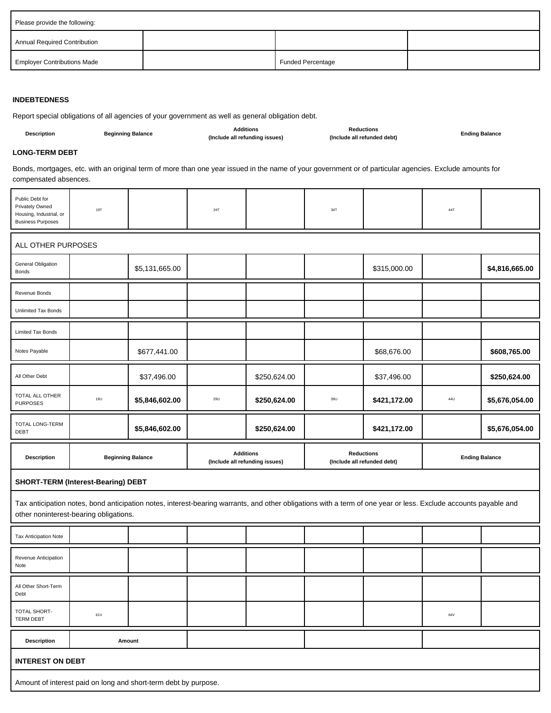| Please provide the following:       |                          |  |
|-------------------------------------|--------------------------|--|
| <b>Annual Required Contribution</b> |                          |  |
| <b>Employer Contributions Made</b>  | <b>Funded Percentage</b> |  |

### **INDEBTEDNESS**

Report special obligations of all agencies of your government as well as general obligation debt.

| <b>Description</b> | <b>Beginning Balance</b> | <b>Additions</b><br>(Include all refunding issues) | Reductions<br>(Include all refunded debt) | <b>Ending Balance</b> |
|--------------------|--------------------------|----------------------------------------------------|-------------------------------------------|-----------------------|
|                    |                          |                                                    |                                           |                       |

#### **LONG-TERM DEBT**

Bonds, mortgages, etc. with an original term of more than one year issued in the name of your government or of particular agencies. Exclude amounts for compensated absences.

| Public Debt for<br><b>Privately Owned</b><br>Housing, Industrial, or<br><b>Business Purposes</b> | 19T | 24T | 34T | 44T |  |
|--------------------------------------------------------------------------------------------------|-----|-----|-----|-----|--|
| ALL OTHER PURPOSES                                                                               |     |     |     |     |  |
|                                                                                                  |     |     |     |     |  |

| General Obligation<br>Bonds        |                          | \$5,131,665.00 |                                                    |              |                                                  | \$315,000.00 |                       | \$4,816,665.00 |
|------------------------------------|--------------------------|----------------|----------------------------------------------------|--------------|--------------------------------------------------|--------------|-----------------------|----------------|
| Revenue Bonds                      |                          |                |                                                    |              |                                                  |              |                       |                |
| <b>Unlimited Tax Bonds</b>         |                          |                |                                                    |              |                                                  |              |                       |                |
| <b>Limited Tax Bonds</b>           |                          |                |                                                    |              |                                                  |              |                       |                |
| Notes Payable                      |                          | \$677,441.00   |                                                    |              |                                                  | \$68,676.00  |                       | \$608,765.00   |
| All Other Debt                     |                          | \$37,496.00    |                                                    | \$250,624.00 |                                                  | \$37,496.00  |                       | \$250,624.00   |
| TOTAL ALL OTHER<br><b>PURPOSES</b> | 19U                      | \$5,846,602.00 | <b>29U</b>                                         | \$250,624.00 | 39U                                              | \$421,172.00 | 44U                   | \$5,676,054.00 |
| TOTAL LONG-TERM<br><b>DEBT</b>     |                          | \$5,846,602.00 |                                                    | \$250,624.00 |                                                  | \$421,172.00 |                       | \$5,676,054.00 |
| <b>Description</b>                 | <b>Beginning Balance</b> |                | <b>Additions</b><br>(Include all refunding issues) |              | <b>Reductions</b><br>(Include all refunded debt) |              | <b>Ending Balance</b> |                |

#### **SHORT-TERM (Interest-Bearing) DEBT**

Tax anticipation notes, bond anticipation notes, interest-bearing warrants, and other obligations with a term of one year or less. Exclude accounts payable and other noninterest-bearing obligations.

| Tax Anticipation Note        |        |  |  |  |  |  |     |  |
|------------------------------|--------|--|--|--|--|--|-----|--|
| Revenue Anticipation<br>Note |        |  |  |  |  |  |     |  |
| All Other Short-Term<br>Debt |        |  |  |  |  |  |     |  |
| TOTAL SHORT-<br>TERM DEBT    | 61V    |  |  |  |  |  | 64V |  |
| <b>Description</b>           | Amount |  |  |  |  |  |     |  |
| <b>INTEREST ON DEBT</b>      |        |  |  |  |  |  |     |  |
|                              |        |  |  |  |  |  |     |  |

Amount of interest paid on long and short-term debt by purpose.